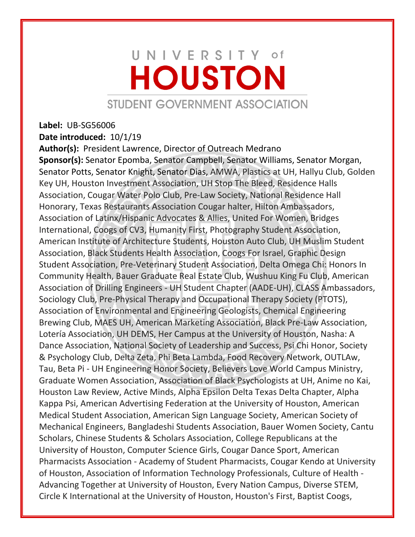## UNIVERSITY of **HOUSTON** STUDENT GOVERNMENT ASSOCIATION

## **Label:** UB-SG56006

**Date introduced:** 10/1/19

**Author(s):** President Lawrence, Director of Outreach Medrano **Sponsor(s):** Senator Epomba, Senator Campbell, Senator Williams, Senator Morgan, Senator Potts, Senator Knight, Senator Dias, AMWA, Plastics at UH, Hallyu Club, Golden Key UH, Houston Investment Association, UH Stop The Bleed, Residence Halls Association, Cougar Water Polo Club, Pre-Law Society, National Residence Hall Honorary, Texas Restaurants Association Cougar halter, Hilton Ambassadors, Association of Latinx/Hispanic Advocates & Allies, United For Women, Bridges International, Coogs of CV3, Humanity First, Photography Student Association, American Institute of Architecture Students, Houston Auto Club, UH Muslim Student Association, Black Students Health Association, Coogs For Israel, Graphic Design Student Association, Pre-Veterinary Student Association, Delta Omega Chi: Honors In Community Health, Bauer Graduate Real Estate Club, Wushuu King Fu Club, American Association of Drilling Engineers - UH Student Chapter (AADE-UH), CLASS Ambassadors, Sociology Club, Pre-Physical Therapy and Occupational Therapy Society (PTOTS), Association of Environmental and Engineering Geologists, Chemical Engineering Brewing Club, MAES UH, American Marketing Association, Black Pre-Law Association, Lotería Association, UH DEMS, Her Campus at the University of Houston, Nasha: A Dance Association, National Society of Leadership and Success, Psi Chi Honor, Society & Psychology Club, Delta Zeta, Phi Beta Lambda, Food Recovery Network, OUTLAw, Tau, Beta Pi - UH Engineering Honor Society, Believers Love World Campus Ministry, Graduate Women Association, Association of Black Psychologists at UH, Anime no Kai, Houston Law Review, Active Minds, Alpha Epsilon Delta Texas Delta Chapter, Alpha Kappa Psi, American Advertising Federation at the University of Houston, American Medical Student Association, American Sign Language Society, American Society of Mechanical Engineers, Bangladeshi Students Association, Bauer Women Society, Cantu Scholars, Chinese Students & Scholars Association, College Republicans at the University of Houston, Computer Science Girls, Cougar Dance Sport, American Pharmacists Association - Academy of Student Pharmacists, Cougar Kendo at University of Houston, Association of Information Technology Professionals, Culture of Health - Advancing Together at University of Houston, Every Nation Campus, Diverse STEM, Circle K International at the University of Houston, Houston's First, Baptist Coogs,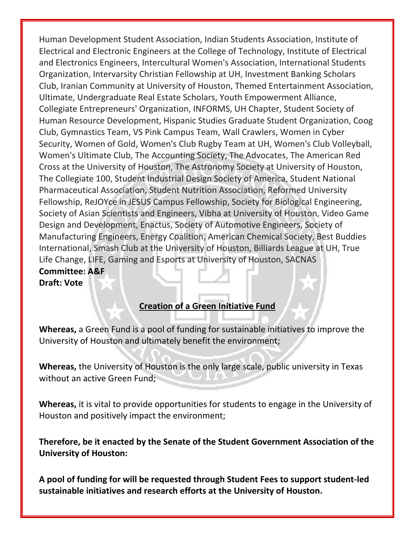Human Development Student Association, Indian Students Association, Institute of Electrical and Electronic Engineers at the College of Technology, Institute of Electrical and Electronics Engineers, Intercultural Women's Association, International Students Organization, Intervarsity Christian Fellowship at UH, Investment Banking Scholars Club, Iranian Community at University of Houston, Themed Entertainment Association, Ultimate, Undergraduate Real Estate Scholars, Youth Empowerment Alliance, Collegiate Entrepreneurs' Organization, INFORMS, UH Chapter, Student Society of Human Resource Development, Hispanic Studies Graduate Student Organization, Coog Club, Gymnastics Team, VS Pink Campus Team, Wall Crawlers, Women in Cyber Security, Women of Gold, Women's Club Rugby Team at UH, Women's Club Volleyball, Women's Ultimate Club, The Accounting Society, The Advocates, The American Red Cross at the University of Houston, The Astronomy Society at University of Houston, The Collegiate 100, Student Industrial Design Society of America, Student National Pharmaceutical Association, Student Nutrition Association, Reformed University Fellowship, ReJOYce in JESUS Campus Fellowship, Society for Biological Engineering, Society of Asian Scientists and Engineers, Vibha at University of Houston, Video Game Design and Development, Enactus, Society of Automotive Engineers, Society of Manufacturing Engineers, Energy Coalition, American Chemical Society, Best Buddies International, Smash Club at the University of Houston, Billiards League at UH, True Life Change, LIFE, Gaming and Esports at University of Houston, SACNAS **Committee: A&F Draft: Vote**

## **Creation of a Green Initiative Fund**

**Whereas,** a Green Fund is a pool of funding for sustainable initiatives to improve the University of Houston and ultimately benefit the environment;

**Whereas,** the University of Houston is the only large scale, public university in Texas without an active Green Fund;

**Whereas,** it is vital to provide opportunities for students to engage in the University of Houston and positively impact the environment;

**Therefore, be it enacted by the Senate of the Student Government Association of the University of Houston:** 

**A pool of funding for will be requested through Student Fees to support student-led sustainable initiatives and research efforts at the University of Houston.**